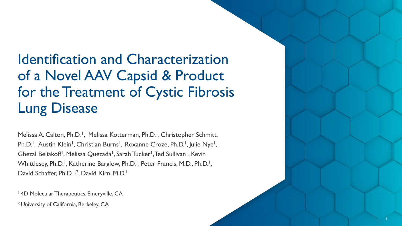# Identification and Characterization of a Novel AAV Capsid & Product for the Treatment of Cystic Fibrosis Lung Disease

Melissa A. Calton, Ph.D.<sup>1</sup>, Melissa Kotterman, Ph.D.<sup>1</sup>, Christopher Schmitt, Ph.D.<sup>1</sup>, Austin Klein<sup>1</sup>, Christian Burns<sup>1</sup>, Roxanne Croze, Ph.D.<sup>1</sup>, Julie Nye<sup>1</sup>, Ghezal Beliakoff<sup>1</sup>, Melissa Quezada<sup>1</sup>, Sarah Tucker<sup>1</sup>, Ted Sullivan<sup>1</sup>, Kevin Whittlesey, Ph.D.<sup>1</sup>, Katherine Barglow, Ph.D.<sup>1</sup>, Peter Francis, M.D., Ph.D.<sup>1</sup>, David Schaffer, Ph.D.<sup>1,2</sup>, David Kirn, M.D.<sup>1</sup>

<sup>1</sup> 4D Molecular Therapeutics, Emeryville, CA

2 University of California, Berkeley, CA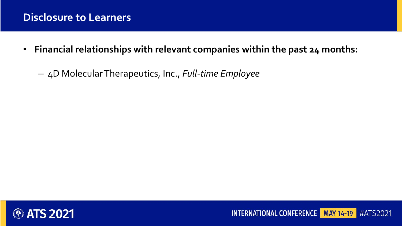### **Disclosure to Learners**

- **Financial relationships with relevant companies within the past 24 months:**
	- 4D Molecular Therapeutics, Inc., *Full-time Employee*



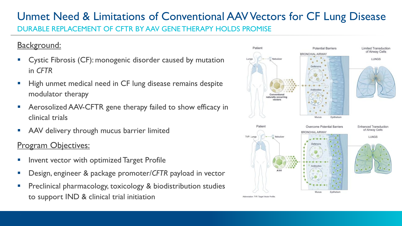### Unmet Need & Limitations of Conventional AAV Vectors for CF Lung Disease DURABLE REPLACEMENT OF CFTR BY AAV GENE THERAPY HOLDS PROMISE

### Background:

- Cystic Fibrosis (CF): monogenic disorder caused by mutation in *CFTR*
- High unmet medical need in CF lung disease remains despite modulator therapy
- **E** Aerosolized AAV-CFTR gene therapy failed to show efficacy in clinical trials
- AAV delivery through mucus barrier limited

### Program Objectives:

- **·** Invent vector with optimized Target Profile
- Design, engineer & package promoter/*CFTR* payload in vector
- Preclinical pharmacology, toxicology & biodistribution studies to support IND & clinical trial initiation

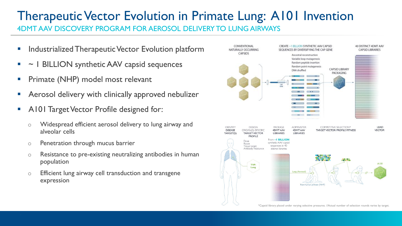## Therapeutic Vector Evolution in Primate Lung: A101 Invention

4DMT AAV DISCOVERY PROGRAM FOR AEROSOL DELIVERY TO LUNG AIRWAYS

- **E** Industrialized Therapeutic Vector Evolution platform
- ~ 1 BILLION synthetic AAV capsid sequences
- **•** Primate (NHP) model most relevant
- **E** Aerosol delivery with clinically approved nebulizer
- **A101 Target Vector Profile designed for:** 
	- o Widespread efficient aerosol delivery to lung airway and alveolar cells
	- o Penetration through mucus barrier
	- o Resistance to pre-existing neutralizing antibodies in human population
	- o Efficient lung airway cell transduction and transgene expression

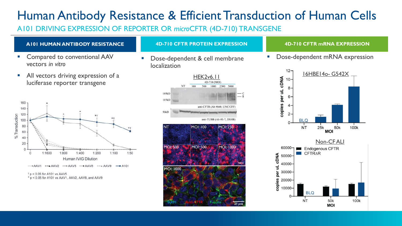## Human Antibody Resistance & Efficient Transduction of Human Cells

A101 DRIVING EXPRESSION OF REPORTER OR *micro*CFTR (4D-710) TRANSGENE

#### **A101 HUMAN ANTIBODY RESISTANCE**

- Compared to conventional AAV vectors *in vitro*
- All vectors driving expression of a luciferase reporter transgene



 $\tau$  p < 0.05 for A101 vs AAV5

 $*$  p < 0.05 for A101 vs AAV1, AAV2, AAV8, and AAV9

#### **4D-710 CFTR PROTEIN EXPRESSION 4D-710 CFTR mRNA EXPRESSION**

localization



Dose-dependent & cell membrane - - Dose-dependent mRNA expression

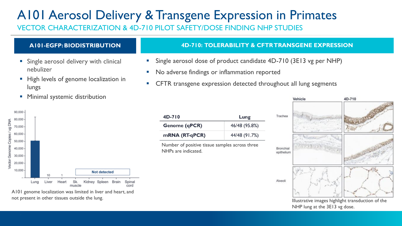## A101 Aerosol Delivery & Transgene Expression in Primates

VECTOR CHARACTERIZATION & 4D-710 PILOT SAFETY/DOSE FINDING NHP STUDIES

### **A101-EGFP: BIODISTRIBUTION**

- Single aerosol delivery with clinical nebulizer
- High levels of genome localization in lungs
- **E** Minimal systemic distribution



A101 genome localization was limited in liver and heart, and not present in other tissues outside the lung.

### ■ No adverse findings or inflammation reported

**4D-710: TOLERABILITY & CFTR TRANSGENE EXPRESSION**

Single aerosol dose of product candidate 4D-710 (3E13 vg per NHP)

■ CFTR transgene expression detected throughout all lung segments



Number of positive tissue samples across three NHPs are indicated.



Illustrative images highlight transduction of the NHP lung at the 3E13 vg dose.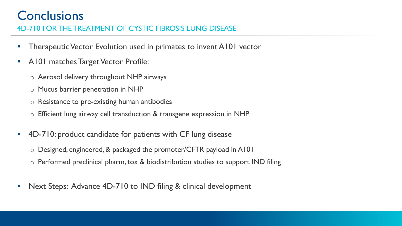## **Conclusions**

4D-710 FOR THE TREATMENT OF CYSTIC FIBROSIS LUNG DISEASE

- Therapeutic Vector Evolution used in primates to invent A101 vector
- A101 matches Target Vector Profile:
	- o Aerosol delivery throughout NHP airways
	- o Mucus barrier penetration in NHP
	- o Resistance to pre-existing human antibodies
	- o Efficient lung airway cell transduction & transgene expression in NHP
- **.** 4D-710: product candidate for patients with CF lung disease
	- o Designed, engineered, & packaged the promoter/CFTR payload in A101
	- o Performed preclinical pharm, tox & biodistribution studies to support IND filing
- Next Steps: Advance 4D-710 to IND filing & clinical development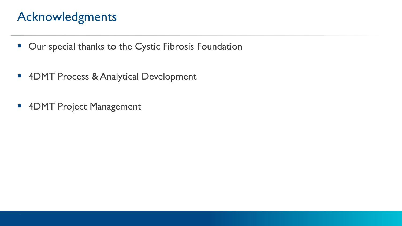## Acknowledgments

- Our special thanks to the Cystic Fibrosis Foundation
- 4DMT Process & Analytical Development
- 4DMT Project Management